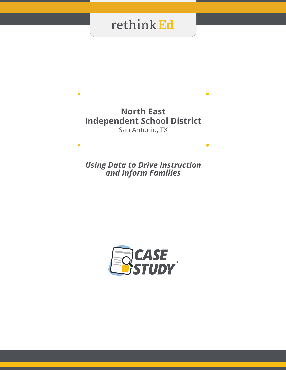### **North East Independent School District** San Antonio, TX

*Using Data to Drive Instruction and Inform Families*

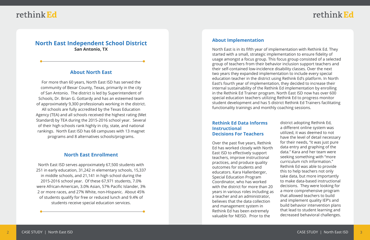### rethink Ed

### **North East Independent School District San Antonio, TX**

#### **About North East**

For more than 60 years, North East ISD has served the community of Bexar County, Texas, primarily in the city of San Antonio. The district is led by Superintendent of Schools, Dr. Brian G. Gottardy and has an esteemed team of approximately 9,300 professionals working in the district. All schools are fully accredited by the Texas Education Agency (TEA) and all schools received the highest rating (Met Standard) by TEA during the 2015-2016 school year. Several of their high schools rank highly in city, state, and national rankings. North East ISD has 68 campuses with 13 magnet programs and 8 alternatives schools/programs.

#### **North East Enrollment**

North East ISD serves approximately 67,500 students with 251 in early education, 31,242 in elementary schools, 15,337 in middle schools, and 21,141 in high school during the 2015-2016 school year. Of these 67,971 students, 7.0% were African-American, 3.0% Asian, 57% Pacific Islander, 3% 2 or more races, and 27% White, non-Hispanic. About 45% of students qualify for free or reduced lunch and 9.4% of students receive special education services.

#### **About Implementation**

North East is in its fifth year of implementation with Rethink Ed. They started with a small, strategic implementation to ensure fidelity of usage amongst a focus group. This focus group consisted of a selected group of teachers from their behavior inclusion support teachers and their self-contained low-incidence disability classes. Over the next two years they expanded implementation to include every special education teacher in the district using Rethink Ed's platform. In North East's fourth year of implementation, they decided to increase their internal sustainability of the Rethink Ed implementation by enrolling in the Rethink Ed Trainer program. North East ISD now has over 600 special education teachers utilizing Rethink Ed to progress monitor student development and has 5 district Rethink Ed Trainers facilitating functionality trainings and monthly coaching sessions.

#### **Rethink Ed Data Informs Instructional Decisions For Teachers**

Over the past five years, Rethink Ed has worked closely with North East ISD to effectively support teachers, improve instructional practices, and produce quality outcomes for students and educators. Kara Hallenberger, Special Education Program Coordinator, who has worked with the district for more than 20 years in various roles including as a teacher and an administrator, believes that the data collection and management system in Rethink Ed has been extremely valuable for NEISD. Prior to the

district adopting Rethink Ed, a different online system was utilized, it was deemed to not have the level of detail necessary for their needs, "it was just pure data entry and graphing of the data." Kara and her team were seeking something with "more curriculum rich information." Rethink Ed was able to provide this to help teachers not only take data, but more importantly to make data-based instructional decisions. They were looking for a more comprehensive program that allowed teachers to build and implement quality IEP's and build behavior intervention plans that lead to student learning and decreased behavioral challenges.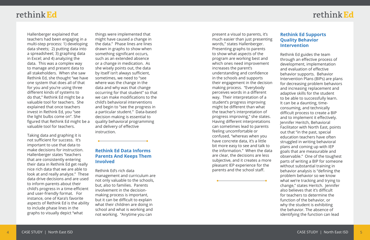# rethink Ed

Hallenberger explained that teachers had been engaging in a multi-step process: 1) developing data sheets; 2) putting data into a spreadsheet; 3) graphing data in Excel; and 4) analyzing the data. This was a complex way to manage and present data to all stakeholders. When she saw Rethink Ed, she thought "we have one system that does all of that for you and you're using three different kinds of systems to do that," Rethink Ed might be a valuable tool for teachers. She explained that once teachers invest in Rethink Ed, you "see the light bulbs come on". She figured that Rethink Ed might be a valuable tool for teachers.

Taking data and graphing it is not sufficient for success. It's important to use that data to make decisions for instruction. Hallenberger states "teachers that are consistently entering their data in Rethink Ed get really nice rich data that we are able to look at and really analyze." These data drive decisions and are used to inform parents about their child's progress in a time-efficient and user-friendly format. For instance, one of Kara's favorite aspects of Rethink Ed is the ability to include phase lines in the graphs to visually depict "what

things were implemented that might have caused a change in the data." Phase lines are lines drawn in graphs to show when something significant occurs, such as an extended absence or a change in medication. As she wisely points out, the data by itself isn't always sufficient, sometimes, we need to "see where was the change in the data and why was that change occurring for that student" so that we can make modifications to the child's behavioral interventions and begin to "see the progress in a particular student." Data-based decision making is essential to quality behavioral programming and delivery of effective instruction.

#### **Rethink Ed Data Informs Parents And Keeps Them Involved**

Rethink Ed's rich data management and curriculum are not only valuable to the schools, but, also to families. Parents involvement in the decisionmaking process is important, but it can be difficult to explain what their children are doing in school and what is working and not working. "Anytime you can

present a visual to parents, it's much easier than just presenting words," states Hallenberger. Presenting graphs to parents to show what aspects of the program are working best and which ones need improvement increases the parent's understanding and confidence in the schools and supports their engagement in the decision making process. "Everybody perceives words in a different way. Their interpretation of a student's progress improving might be different than what the teacher's interpretation of progress improving," she states. Having different interpretations can sometimes lead to parents feeling uncomfortable or confused, "whereas when you have concrete data, it's a little bit more easy to see and talk to the information." When the data are clear, the decisions are less subjective, and it creates a more pleasant IEP experience for the parents and the school staff.

#### **Rethink Ed Supports Quality Behavior Intervention**

Rethink Ed guides the team through an effective process of development, implementation and evaluation of effective behavior supports. Behavior Intervention Plans (BIPs) are plans for decreasing problem behaviors and increasing replacement and adaptive skills for the student to be able to successfully learn. It can be a daunting, timeconsuming, and technically difficult process to create a BIP and to implement it effectively. Jennifer Heritch, Behavioral Facilitator with North East, points out that "in the past, special education teachers have often struggled in writing behavioral plans and coming up with IEP goals that are measurable and observable." One of the toughest parts of writing a BIP for someone without substantial training in behavior analysis is "defining the problem behavior so we know what we're tracking and trying to change," states Heritch. Jennifer also believes that it's difficult for teachers to determine the function of the behavior, or why the student is exhibiting the behavior. The absence of identifying the function can lead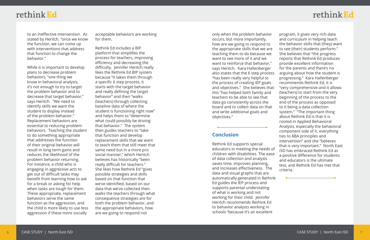### rethink Ed

to an ineffective intervention. As stated by Heritch, "once we know the function, we can come up with interventions that address that function to change the behavior."

While it is important to develop plans to decrease problem behaviors, "one thing we know in behavioral analysis, it's not enough to try to target the problem behavior and to decrease that target behavior," says Heritch. "We need to identify skills we want the student to display instead of the problem behavior." Replacement behaviors are essential to reducing problem behaviors. Teaching the student to do something appropriate that addresses the function of their original behavior will result in long term gains and reduces the likelihood of the problem behavior returning. For instance, a child who is engaging in aggressive acts to get out of difficult tasks may benefit from learning how to ask for a break or asking for help when tasks are tough for them. These appropriate, replacement behaviors serve the same function as the aggression, and the child is more likely to use less aggression if these more socially

acceptable behaviors are working for them.

Rethink Ed includes a BIP platform that simplifies the process for teachers, improving efficiency and decreasing the difficulty. Jennifer Heritch really likes the Rethink Ed BIP system because "it takes them through a specific 6 step process, it starts with the target behavior and really defining the target behavior" and then "walks (teachers) through collecting baseline data of where the student is functioning right now" and helps them to "determine what could possibly be driving that behavior." The system then guides teachers to "take that function and develop replacement skills that we want to teach them that still meet that same need but in a more pro social manner," which Heritch believes has historically "been really difficult for teachers." She likes how Rethink Ed "gives possible strategies and skills based on that function that we've identified, based on our data that we've collected then walks the teachers through what consequence strategies are for both the problem behavior, and the appropriate behaviors, how are we going to respond not

data and visual graphs that are automatically generated in Rethink Ed guides the IEP process and supports parental understating of what is working and not working for their child. Jennifer Heritch recommends Rethink Ed to behavior analysts working in schools "because it's an excellent

only when the problem behavior occurs, but more importantly, how are we going to respond to the appropriate skills that we are teaching them to do because we want to see more of it and we want to reinforce that behavior," says Heritch. Kara Hallenberger also states that the 6 step process "has been really very helpful to the process of creating IEP goals and objectives." She believes that this "has helped both family and teachers to be able to see that data go consistently across the board and to collect data on that and write additional goals and objectives." **Conclusion** Rethink Ed supports special educators in meeting the needs of children with disabilities. The ease of data collection and analysis saves time, improves planning, and increases effectiveness. The program, it gives very rich data and curriculum in helping teach the behavior skills that (they) want to see (their) students perform." She believes that "the progress reports that Rethink Ed produces provide excellent information for the parents and there's no arguing about how the student is progressing." Kara Hallenberger recommends Rethink Ed, it is "very comprehensive and it allows (teachers) to start from the very beginning of the process to the end of the process as opposed to it being a data collection system." "The important thing about Rethink Ed is that it is rooted in Applied Behavioral Analysis, especially the behavioral component side of it, everything ties to ABA principles and intervention" and she "believes that is very important." North East ISD has embraced Rethink Ed as a positive difference for students and educators is the ultimate test, and Rethink Ed has met that criteria.